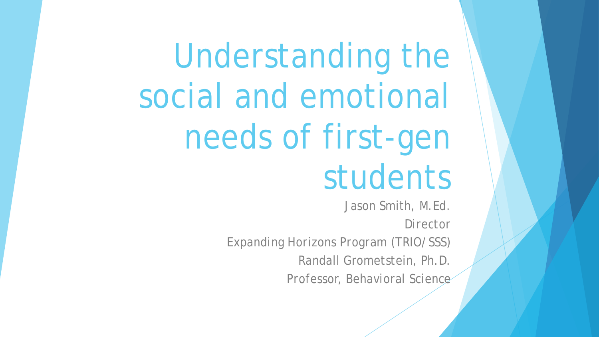Understanding the social and emotional needs of first-gen students

> Jason Smith, M.Ed. *Director Expanding Horizons Program (TRIO/SSS)* Randall Grometstein, Ph.D. *Professor, Behavioral Science*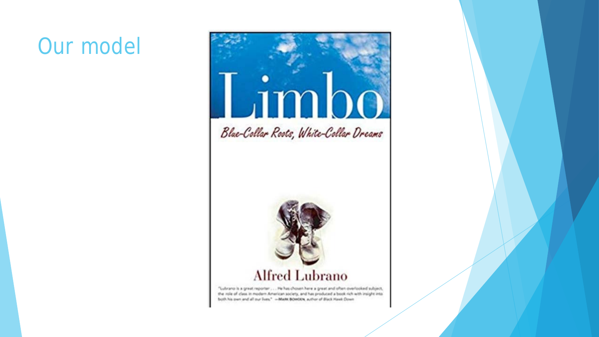#### Our model



Blue-Collar Roots, White-Collar Dreams



#### **Alfred Lubrano**

"Lubrano is a great reporter . . . He has chosen here a great and often overlooked subject, the role of class in modern American society, and has produced a book rich with insight into both his own and all our lives." -- MARK BOWDEN, author of Black Hawk Down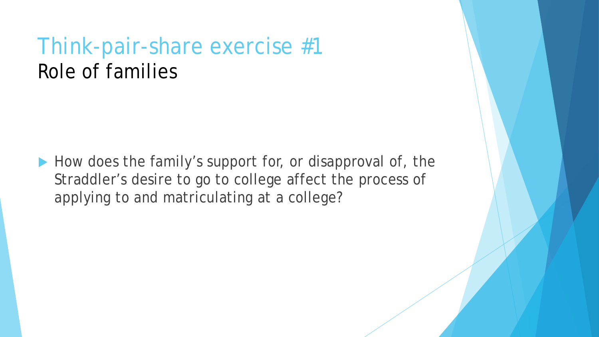#### Think-pair-share exercise #1 Role of families

How does the family's support for, or disapproval of, the Straddler's desire to go to college affect the process of applying to and matriculating at a college?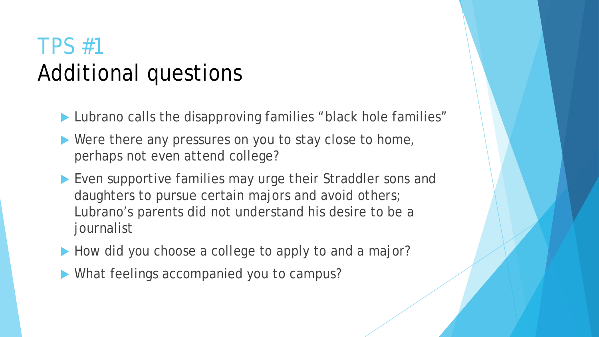# TPS #1 Additional questions

▶ Lubrano calls the disapproving families "black hole families"

- Were there any pressures on you to stay close to home, perhaps not even attend college?
- ▶ Even supportive families may urge their Straddler sons and daughters to pursue certain majors and avoid others; Lubrano's parents did not understand his desire to be a journalist
- How did you choose a college to apply to and a major?
- What feelings accompanied you to campus?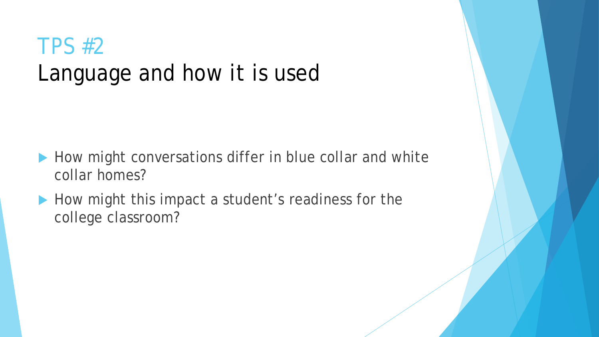# TPS #2 Language and how it is used

- How might conversations differ in blue collar and white collar homes?
- How might this impact a student's readiness for the college classroom?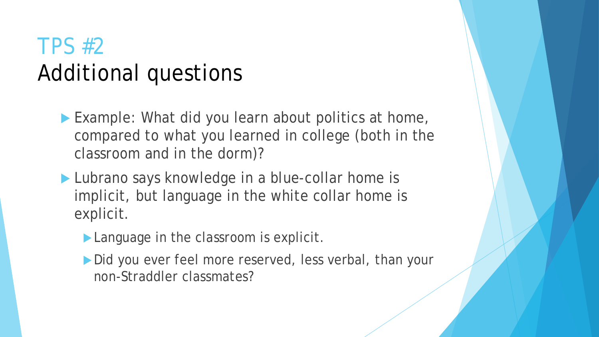## TPS #2 Additional questions

- Example: What did you learn about politics at home, compared to what you learned in college (both in the classroom and in the dorm)?
- Lubrano says knowledge in a blue-collar home is implicit, but language in the white collar home is explicit.
	- **Language in the classroom is explicit.**
	- Did you ever feel more reserved, less verbal, than your non-Straddler classmates?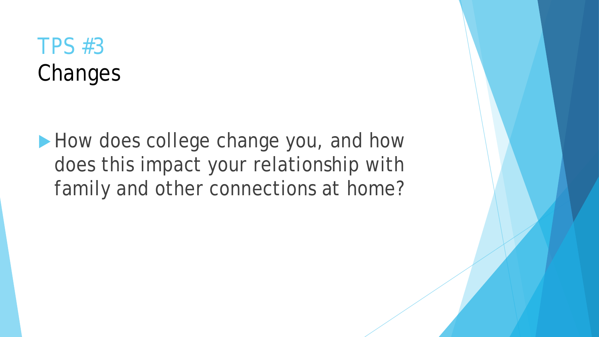# TPS #3 Changes

How does college change you, and how does this impact your relationship with family and other connections at home?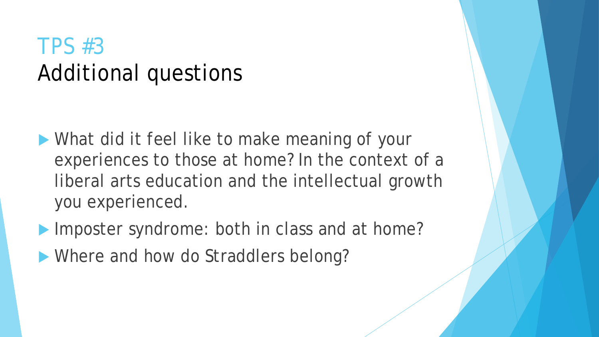#### TPS #3 Additional questions

- **What did it feel like to make meaning of your** experiences to those at home? In the context of a liberal arts education and the intellectual growth you experienced.
- Imposter syndrome: both in class and at home?
- **Where and how do Straddlers belong?**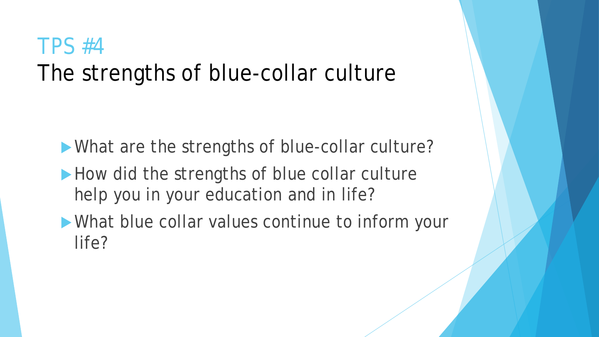#### TPS #4 The strengths of blue-collar culture

What are the strengths of blue-collar culture?

- How did the strengths of blue collar culture help you in your education and in life?
- What blue collar values continue to inform your life?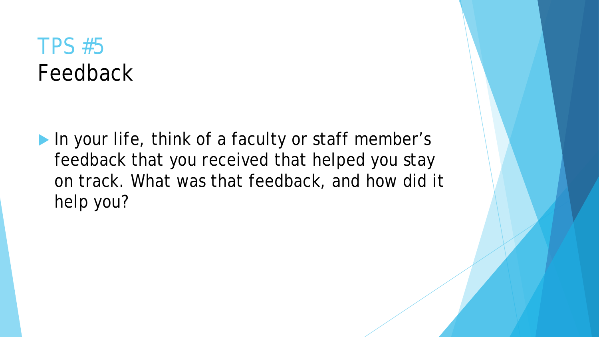#### TPS #5 Feedback

In your life, think of a faculty or staff member's feedback that you received that helped you stay on track. What was that feedback, and how did it help you?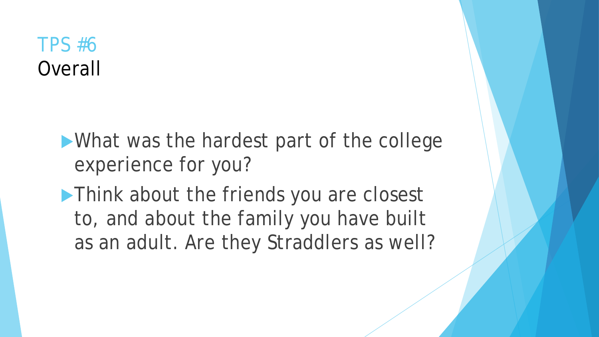#### TPS #6 **Overall**

What was the hardest part of the college experience for you?

**Think about the friends you are closest** to, and about the family you have built as an adult. Are they Straddlers as well?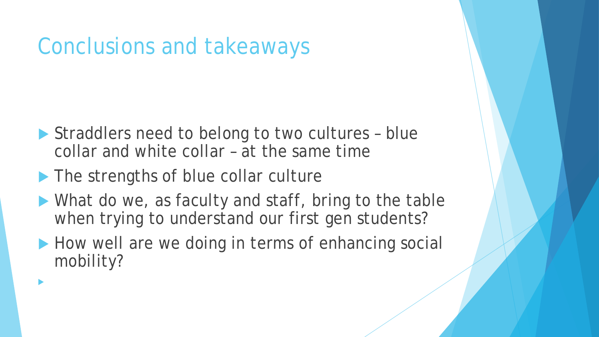## Conclusions and takeaways

- Straddlers need to belong to two cultures blue collar and white collar – at the same time
- The strengths of blue collar culture

 $\blacktriangleright$ 

- What do we, as faculty and staff, bring to the table when trying to understand our first gen students?
- How well are we doing in terms of enhancing social mobility?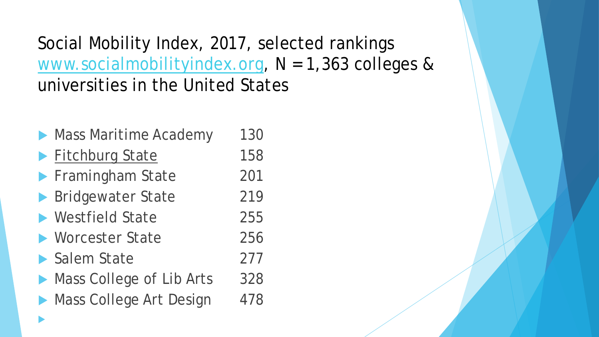Social Mobility Index, 2017, selected rankings [www.socialmobilityindex.org,](http://www.socialmobilityindex.org/) N = 1,363 colleges & universities in the United States

| Mass Maritime Academy    | 130 |
|--------------------------|-----|
| Fitchburg State          | 158 |
| Framingham State         | 201 |
| Bridgewater State        | 219 |
| ▶ Westfield State        | 255 |
| ▶ Worcester State        | 256 |
| Salem State              | 277 |
| Mass College of Lib Arts | 328 |
| Mass College Art Design  | 478 |
|                          |     |